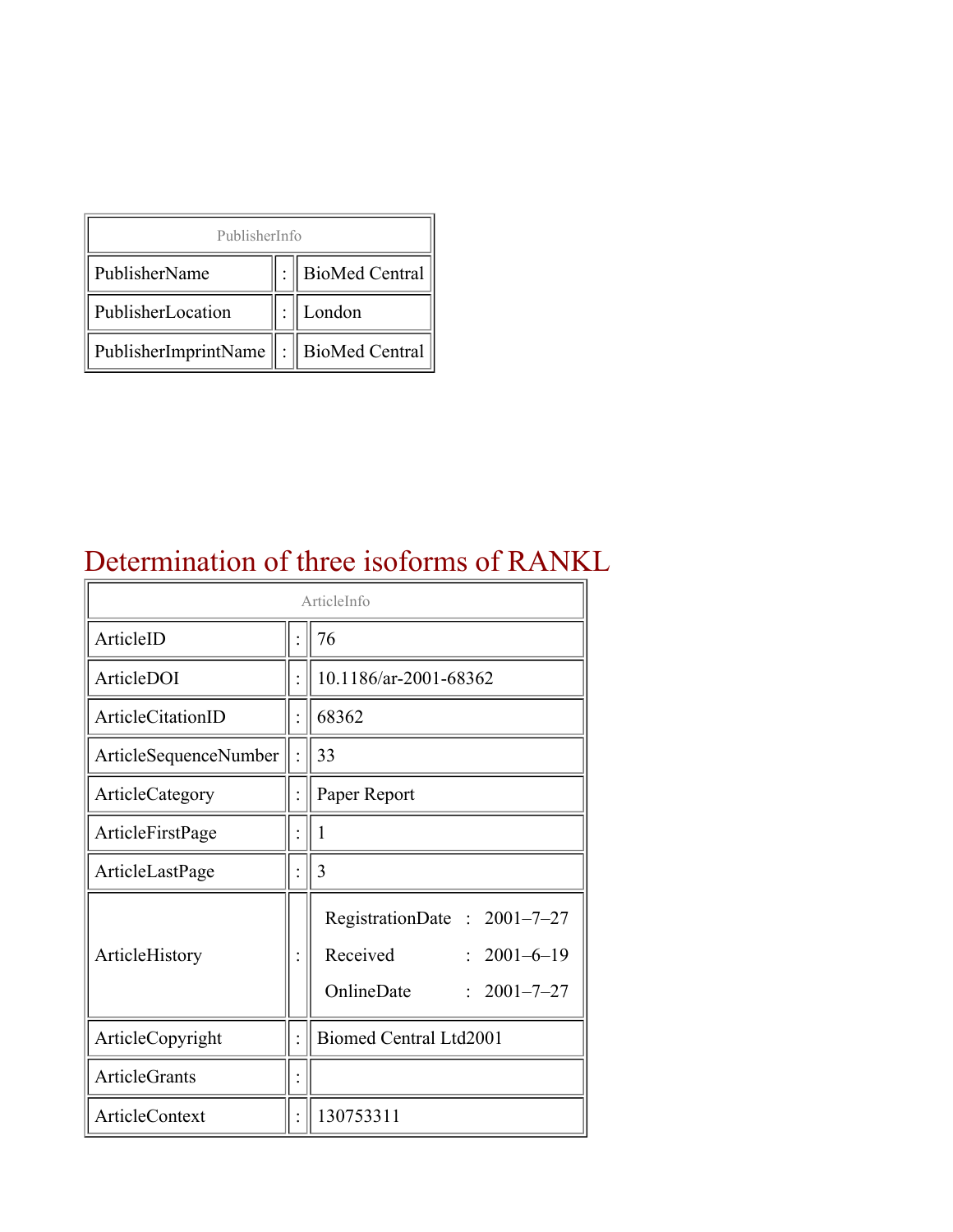| PublisherInfo                               |  |                    |  |  |
|---------------------------------------------|--|--------------------|--|--|
| PublisherName                               |  | :   BioMed Central |  |  |
| PublisherLocation                           |  | London             |  |  |
| PublisherImprintName    :    BioMed Central |  |                    |  |  |

### Determination of three isoforms of RANKL

| ArticleInfo              |  |                                                                                                 |
|--------------------------|--|-------------------------------------------------------------------------------------------------|
| ArticleID                |  | 76                                                                                              |
| ArticleDOI               |  | 10.1186/ar-2001-68362                                                                           |
| <b>ArticleCitationID</b> |  | 68362                                                                                           |
| ArticleSequenceNumber    |  | 33                                                                                              |
| ArticleCategory          |  | Paper Report                                                                                    |
| ArticleFirstPage         |  | $\mathbf{1}$                                                                                    |
| ArticleLastPage          |  | 3                                                                                               |
| ArticleHistory           |  | RegistrationDate: 2001-7-27<br>Received<br>$: 2001 - 6 - 19$<br>OnlineDate<br>$: 2001 - 7 - 27$ |
| ArticleCopyright         |  | <b>Biomed Central Ltd2001</b>                                                                   |
| <b>ArticleGrants</b>     |  |                                                                                                 |
| ArticleContext           |  | 130753311                                                                                       |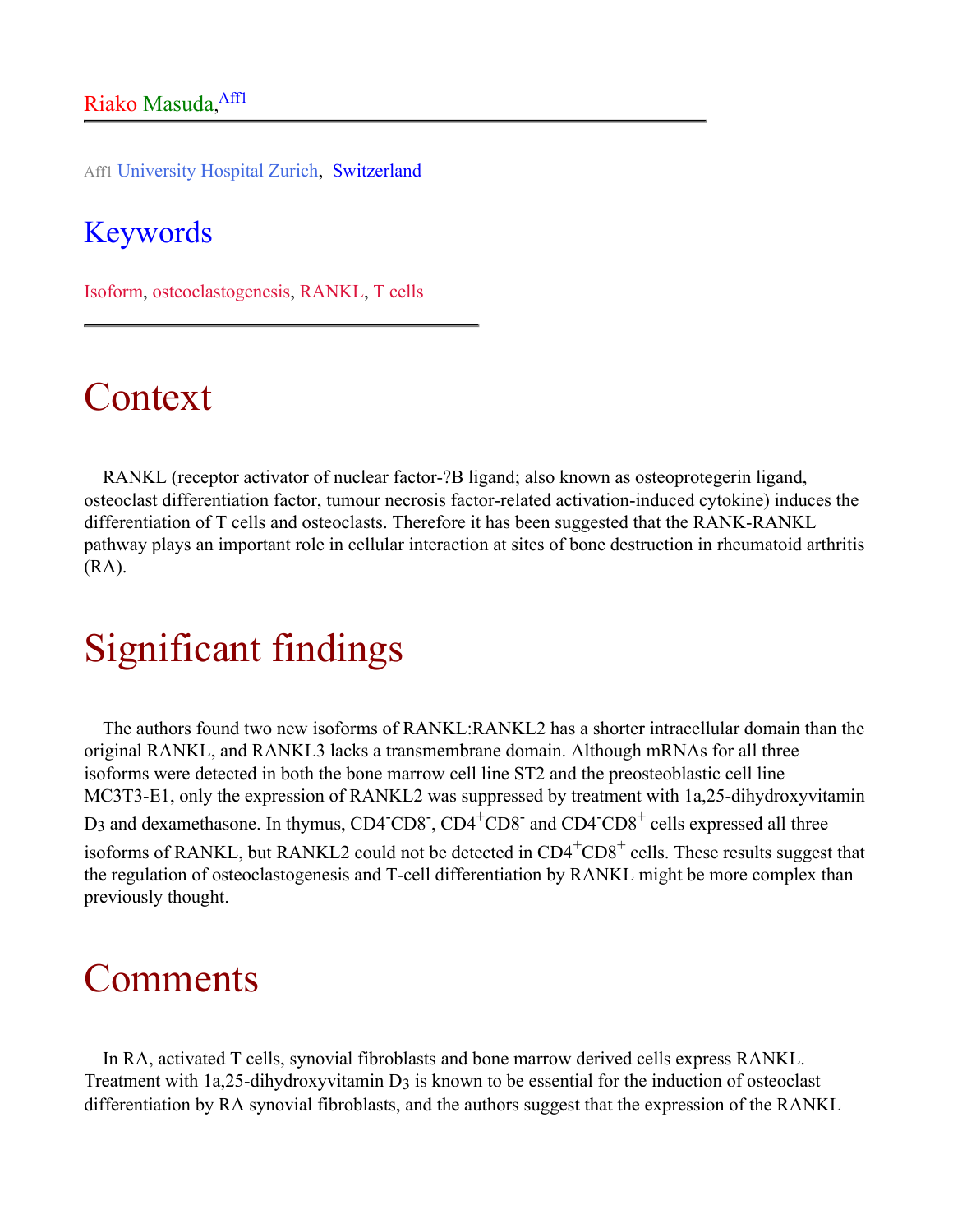Aff1 University Hospital Zurich, Switzerland

#### Keywords

Isoform, osteoclastogenesis, RANKL, T cells

## Context

RANKL (receptor activator of nuclear factor-?B ligand; also known as osteoprotegerin ligand, osteoclast differentiation factor, tumour necrosis factor-related activation-induced cytokine) induces the differentiation of T cells and osteoclasts. Therefore it has been suggested that the RANK-RANKL pathway plays an important role in cellular interaction at sites of bone destruction in rheumatoid arthritis (RA).

## Significant findings

The authors found two new isoforms of RANKL:RANKL2 has a shorter intracellular domain than the original RANKL, and RANKL3 lacks a transmembrane domain. Although mRNAs for all three isoforms were detected in both the bone marrow cell line ST2 and the preosteoblastic cell line MC3T3-E1, only the expression of RANKL2 was suppressed by treatment with 1a,25-dihydroxyvitamin D<sub>3</sub> and dexamethasone. In thymus, CD4<sup>-</sup>CD8<sup>-</sup>, CD4<sup>+</sup>CD8<sup>-</sup> and CD4<sup>-</sup>CD8<sup>+</sup> cells expressed all three isoforms of RANKL, but RANKL2 could not be detected in  $CD4+CD8+$  cells. These results suggest that the regulation of osteoclastogenesis and T-cell differentiation by RANKL might be more complex than previously thought.

### Comments

In RA, activated T cells, synovial fibroblasts and bone marrow derived cells express RANKL. Treatment with 1a,25-dihydroxyvitamin D<sub>3</sub> is known to be essential for the induction of osteoclast differentiation by RA synovial fibroblasts, and the authors suggest that the expression of the RANKL